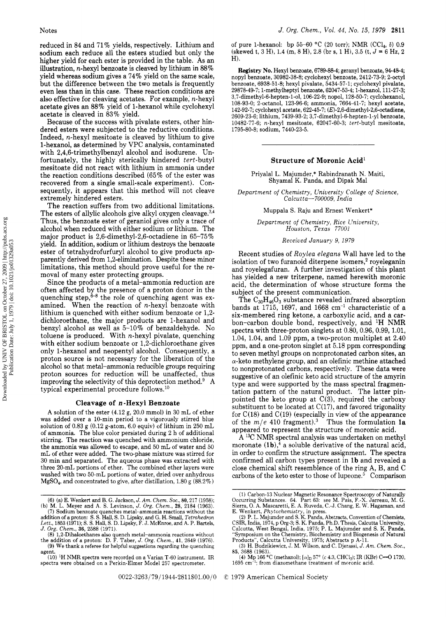reduced in 84 and 71 *7'0* yields, respectively. Lithium and sodium each reduce all the esters studied but only the higher yield for each ester is provided in the table. **As** an illustration, n-hexyl benzoate is cleaved by lithium in 88% yield whereas sodium gives a 74% yield on the same scale, but the difference between the two metals is frequently even less than in this case. These reaction conditions are also effective for cleaving acetates. For example, n-hexyl acetate gives an 88% yield of 1-hexanol while cyclohexyl acetate is cleaved in 83% yield.

Because of the success with pivalate esters, other hindered esters were subjected to the reductive conditions. Indeed, n-hexyl mesitoate is cleaved by lithium to give 1-hexanol, as determined by VPC analysis, contaminated with 2,4,6-trimethylbenzyl alcohol and isodurene. Unfortunately, the highly sterically hindered tert-butyl mesitoate did not react with lithium in ammonia under the reaction conditions described (65% of the ester was recovered from a single small-scale experiment). Consequently, it appears that this method will not cleave extremely hindered esters.

The reaction suffers from two additional limitations. The esters of allylic alcohols give alkyl oxygen cleavage. $3,4$ Thus, the benzoate ester of geraniol gives only a trace of alcohol when reduced with either sodium or lithium. The major product is 2,6-dimethyl-2,6-octadiene in 65-75% yield. In addition, sodium or lithium destroys the benzoate ester of tetrahydrofurfuryl alcohol to give products apparently derived from 1,2-elimination. Despite these minor limitations, this method should prove useful for the removal of many ester protecting groups.

Since the products of a metal-ammonia reduction are often affected by the presence of a proton donor in the quenching step,<sup>6-8</sup> the role of quenching agent was examined. When the reaction of  $n$ -hexyl benzoate with lithium is quenched with either sodium benzoate or 1,2 dichloroethane, the major products are 1-hexanol and benzyl alcohol as well as 5-10% of benzaldehyde. No toluene is produced. With n-hexyl pivalate, quenching with either sodium benzoate or 1,2-dichloroethane gives only 1-hexanol and neopentyl alcohol. Consequently, a proton source is not necessary for the liberation of the alcohol so that metal-ammonia reducible groups requiring proton sources for reduction will be unaffected, thus improving the selectivity of this deprotection method. $9 \text{ A}$ typical experimental procedure follows.1o

## **Cleavage of** *n* **-Hexyl Benzoate**

**A** solution of the ester (4.12 g, 20.0 mmol) in 30 mL of ether was added over a 10-min period to a vigorously stirred blue solution of 0.83 **g** (0.12 g-atom, 6.0 equiv) of lithium in 250 mL of ammonia. The blue color persisted during 2 h of additional stirring. The reaction was quenched with ammonium chloride, the ammonia was allowed to escape, and 50 mL of water and 50 mL of ether were added. The two-phase mixture was stirred for 30 min and separated. The aqueous phase was extracted with three 20-mL portions of ether. The combined ether layers were washed with two 50-mL portions of water, dried over anhydrous MgSO<sub>4</sub>, and concentrated to give, after distillation,  $1.80$  g ( $88.2\%$ )

of pure 1-hexanol: bp 55-60 "C (20 torr); NMR (CC14, *6)* 0.9 (skewed t, 3 H), 1.4 (m, 8 H), 2.8 (br s, 1 H), 3.5 (t,  $J = 6$  Hz, 2 **H).** 

**Registry No.** Hexyl benzoate, 6789-88-4; geranyl benzoate, 94-48-4; nopyl benzoate, 30982-38-8; cyclohexyl benzoate, 2412-73-9; 2-octyl benzoate, 6938-51-8; hexyl pivalate, 5434-57-1; cyclohexyl pivalate, 29878-49-7; 1-methylheptyl benzoate, 62047-53-4; 1-hexanol, 111-27-3; **3,7-dimethyl-6-hepten-l-o1,** 106-22-9; nopol, 128-50-7; cyclohexanol, 108-93-0; 2-octanol, 123-96-6; ammonia, 7664-41-7; hexyl acetate, 142-92-7; cyclohexyl acetate, 622-45-7; (E)-2,6-dimethyl-2,6-octadiene, 2609-23-6; lithium, 7439-93-2; **3,7-dimethyl-6-hepten-l-y1** benzoate, 10482-77-6; n-hexyl mesitoate, 62047-60-3; tert-butyl mesitoate, 1795-80-8; sodium, 7440-23-5.

## **Structure of Moronic Acid'**

Priyalal L. Majumder,\* Rabindranath N. Maiti, Shyamal K. Panda, and Dipak Mal

Department *of* Chemistry, University College *of* Science, Calcutta-700009, India

Muppala S. Raju and Ernest Wenkert\*

Department *of* Chemistry, Rice University, Houston, Texas 77001

Received January 9, 1979

Recent studies of Roylea elegans Wall have led to the isolation of two furanoid diterpene isomers,<sup>2</sup> royeleganin and royelegafuran. **A** further investigation of this plant has yielded a new triterpene, named herewith moronic acid, the determination of whose structure forms the subject of the present communication.

The  $C_{30}H_{46}O_3$  substance revealed infrared absorption bands at 1715, 1697, and 1668  $cm^{-1}$  characteristic of a six-membered ring ketone, a carboxylic acid, and a carbon-carbon double bond, respectively, and **'H** NMR spectra with three-proton singlets at 0.80, 0.96, 0.99, 1.01, 1.04, 1.04, and 1.09 ppm, a two-proton multiplet at 2.40 ppm, and a one-proton singlet at 5.18 ppm corresponding to seven methyl groups on nonprotonated carbon sites, an  $\alpha$ -keto methylene group, and an olefinic methine attached to nonprotonated carbons, respectively. These data were suggestive of an olefinic keto acid structure of the amyrin type and were supported by the mass spectral fragmentation pattern of the natural product. The latter pinpointed the keto group at  $C(3)$ , required the carboxy substituent to be located at  $C(17)$ , and favored trigonality for  $C(18)$  and  $C(19)$  (especially in view of the appearance of the  $m/e$  410 fragment).<sup>3</sup> Thus the formulation 1a appeared to represent the structure of moronic acid.

**A** 13C NMR spectral analysis was undertaken on methyl moronate  $(1b)$ ,<sup>4</sup> a soluble derivative of the natural acid, in order to confirm the structure assignment. The spectra confirmed all carbon types present in **lb** and revealed a close chemical shift resemblence of the ring **A,** B, and C carbons of the keto ester to those of lupeone.<sup> $5$ </sup> Comparison

<sup>(6) (</sup>a) E. Wenkert and B. G. Jackson, *J.* Am. Chem. SOC., 80,217 (1958); (b) M. L. Meyer and A. S. Levinson, *J.* Org. Chem., **28,** 2184 (1963).

<sup>(7)</sup> Sodium benzoate quenches metal-ammonia reactions without the addition of a proton: S. S. Hall, S. D. Lipsky, and G. H. Small, *Tetrahedron Lett.*, 1853 (1971); S. S. Hall, S. D. Lipsky, F. J. McEnroe, and A. P. Barte *J.* Org. Chem., **36,** 2588 (1971).

<sup>(8) 1,2-</sup>Dihaloethanes also quench metal-ammonia reactions without<br>the addition of a proton: D. F. Taber, J. Org. Chem., 41, 2649 (1976).<br>(9) We thank a referee for helpful suggestions regarding the quenching

agent. (10) **'H** NMR spectra were recorded on a Varian T-60 instrument. IR spectra were obtained on a Perkin-Elmer Model 257 spectrometer.

<sup>(1)</sup> Carbon-13 Nuclear Magnetic Resonance Spectroscopy of Naturally Occurring Substances. 64. Part 63: see M. Pais, F.-X. Jarreau, M. G. Sierra, 0. A. Mascaretti, E. A. Ruveda, C.-J. Chang, E. W. Hagaman, and

E. Wenkert, *Phytochemistry*, in press.<br>
(2) P. L. Majumder and S. K. Panda, Abstracts, Convention of Chemists,<br>
CSIR, India, 1974, p Org-3; S. K. Panda, Ph.D. Thesis, Calcutta University,<br>
Calcutta, West Bengal, India, 19

<sup>(4)</sup> Mp 166 °C (methanol);  $\alpha$ <sub>D</sub> 57° (*c* 4.3, CHCl<sub>3</sub>); IR (KBr) C=0 1720, 1695 cm<sup>-1</sup>; from diazomethane treatment of moronic acid.